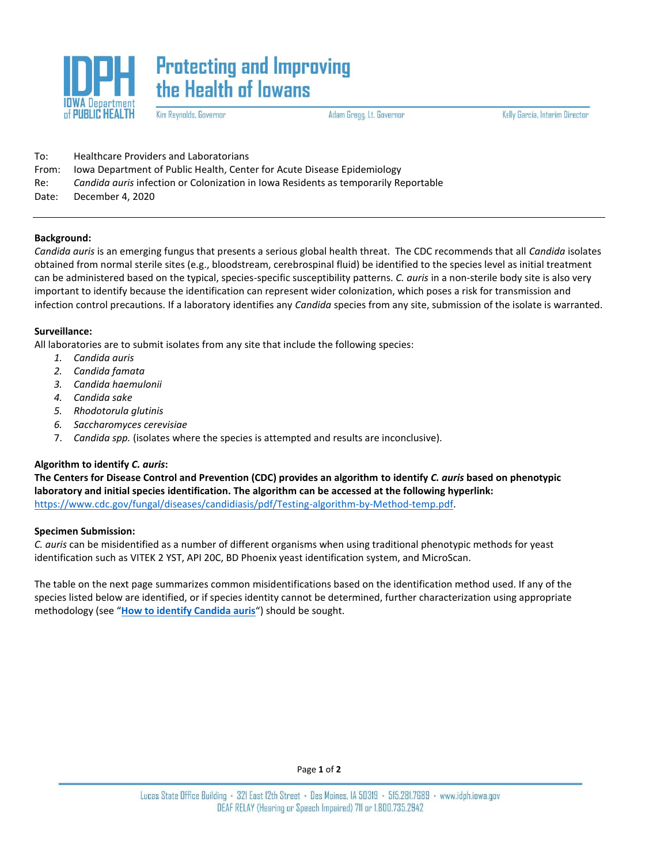

# **Protecting and Improving** the Health of lowans

Kim Reynolds, Governor

Adam Gregg, Lt. Governor

Kelly Garcia, Interim Director

| To:   | <b>Healthcare Providers and Laboratorians</b>                                       |
|-------|-------------------------------------------------------------------------------------|
| From: | Jowa Department of Public Health, Center for Acute Disease Epidemiology             |
| Re:   | Candida auris infection or Colonization in Iowa Residents as temporarily Reportable |
| Date: | December 4. 2020                                                                    |

# **Background:**

*Candida auris* is an emerging fungus that presents a serious global health threat. The CDC recommends that all *Candida* isolates obtained from normal sterile sites (e.g., bloodstream, cerebrospinal fluid) be identified to the species level as initial treatment can be administered based on the typical, species-specific susceptibility patterns. *C. auris* in a non-sterile body site is also very important to identify because the identification can represent wider colonization, which poses a risk for transmission and infection control precautions. If a laboratory identifies any *Candida* species from any site, submission of the isolate is warranted.

# **Surveillance:**

All laboratories are to submit isolates from any site that include the following species:

- *1. Candida auris*
- *2. Candida famata*
- *3. Candida haemulonii*
- *4. Candida sake*
- *5. Rhodotorula glutinis*
- *6. Saccharomyces cerevisiae*
- 7. *Candida spp.* (isolates where the species is attempted and results are inconclusive).

# **Algorithm to identify** *C. auris***:**

**The Centers for Disease Control and Prevention (CDC) provides an algorithm to identify** *C. auris* **based on phenotypic laboratory and initial species identification. The algorithm can be accessed at the following hyperlink:**  [https://www.cdc.gov/fungal/diseases/candidiasis/pdf/Testing-algorithm-by-Method-temp.pdf.](https://www.cdc.gov/fungal/diseases/candidiasis/pdf/Testing-algorithm-by-Method-temp.pdf)

#### **Specimen Submission:**

*C. auris* can be misidentified as a number of different organisms when using traditional phenotypic methods for yeast identification such as VITEK 2 YST, API 20C, BD Phoenix yeast identification system, and MicroScan.

The table on the next page summarizes common misidentifications based on the identification method used. If any of the species listed below are identified, or if species identity cannot be determined, further characterization using appropriate methodology (see "**[How to identify Candida auris](https://www.cdc.gov/fungal/candida-auris/identification.html?CDC_AA_refVal=https%3A%2F%2Fwww.cdc.gov%2Ffungal%2Fcandida-auris%2Frecommendations.html#identify)**") should be sought.